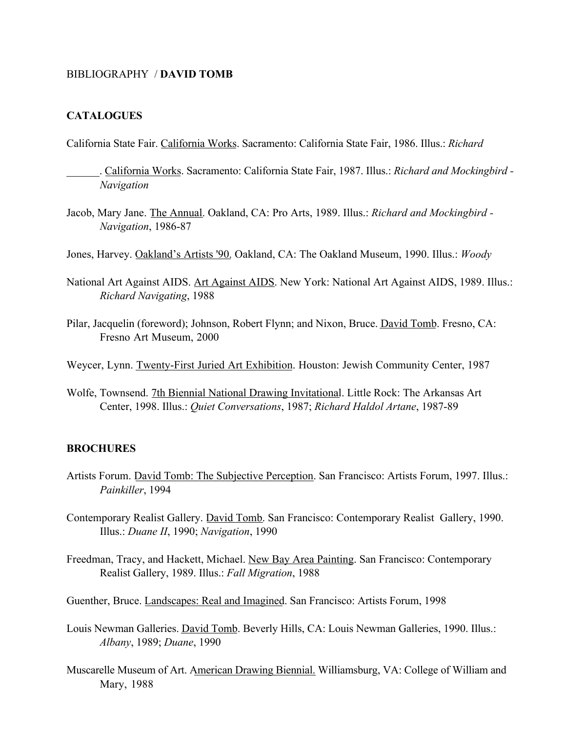## BIBLIOGRAPHY / DAVID TOMB

## CATALOGUES

California State Fair. California Works. Sacramento: California State Fair, 1986. Illus.: *Richard*

- \_\_\_\_\_\_. California Works. Sacramento: California State Fair, 1987. Illus.: *Richard and Mockingbird - Navigation*
- Jacob, Mary Jane. The Annual. Oakland, CA: Pro Arts, 1989. Illus.: *Richard and Mockingbird - Navigation*, 1986-87
- Jones, Harvey. Oakland's Artists '90. Oakland, CA: The Oakland Museum, 1990. Illus.: *Woody*
- National Art Against AIDS. Art Against AIDS. New York: National Art Against AIDS, 1989. Illus.: *Richard Navigating*, 1988
- Pilar, Jacquelin (foreword); Johnson, Robert Flynn; and Nixon, Bruce. David Tomb. Fresno, CA: Fresno Art Museum, 2000

Weycer, Lynn. Twenty-First Juried Art Exhibition. Houston: Jewish Community Center, 1987

Wolfe, Townsend. 7th Biennial National Drawing Invitational. Little Rock: The Arkansas Art Center, 1998. Illus.: *Quiet Conversations*, 1987; *Richard Haldol Artane*, 1987-89

## **BROCHURES**

- Artists Forum. David Tomb: The Subjective Perception. San Francisco: Artists Forum, 1997. Illus.: *Painkiller*, 1994
- Contemporary Realist Gallery. David Tomb. San Francisco: Contemporary Realist Gallery, 1990. Illus.: *Duane II*, 1990; *Navigation*, 1990
- Freedman, Tracy, and Hackett, Michael. New Bay Area Painting. San Francisco: Contemporary Realist Gallery, 1989. Illus.: *Fall Migration*, 1988
- Guenther, Bruce. Landscapes: Real and Imagined. San Francisco: Artists Forum, 1998
- Louis Newman Galleries. David Tomb. Beverly Hills, CA: Louis Newman Galleries, 1990. Illus.: *Albany*, 1989; *Duane*, 1990
- Muscarelle Museum of Art. American Drawing Biennial. Williamsburg, VA: College of William and Mary, 1988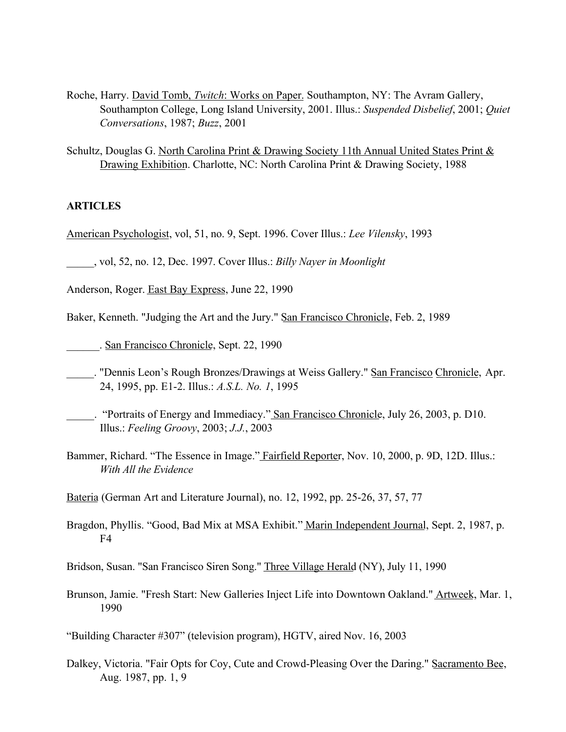- Roche, Harry. David Tomb, *Twitch*: Works on Paper. Southampton, NY: The Avram Gallery, Southampton College, Long Island University, 2001. Illus.: *Suspended Disbelief*, 2001; *Quiet Conversations*, 1987; *Buzz*, 2001
- Schultz, Douglas G. North Carolina Print & Drawing Society 11th Annual United States Print & Drawing Exhibition. Charlotte, NC: North Carolina Print & Drawing Society, 1988

## ARTICLES

American Psychologist, vol, 51, no. 9, Sept. 1996. Cover Illus.: *Lee Vilensky*, 1993

\_\_\_\_\_, vol, 52, no. 12, Dec. 1997. Cover Illus.: *Billy Nayer in Moonlight*

- Anderson, Roger. East Bay Express, June 22, 1990
- Baker, Kenneth. "Judging the Art and the Jury." San Francisco Chronicle, Feb. 2, 1989
- \_\_\_\_\_\_. San Francisco Chronicle, Sept. 22, 1990
- \_\_\_\_\_. "Dennis Leon's Rough Bronzes/Drawings at Weiss Gallery." San Francisco Chronicle, Apr. 24, 1995, pp. E1-2. Illus.: *A.S.L. No. 1*, 1995
- \_\_\_\_\_. "Portraits of Energy and Immediacy." San Francisco Chronicle, July 26, 2003, p. D10. Illus.: *Feeling Groovy*, 2003; *J.J.*, 2003
- Bammer, Richard. "The Essence in Image." Fairfield Reporter, Nov. 10, 2000, p. 9D, 12D. Illus.: *With All the Evidence*
- Bateria (German Art and Literature Journal), no. 12, 1992, pp. 25-26, 37, 57, 77
- Bragdon, Phyllis. "Good, Bad Mix at MSA Exhibit." Marin Independent Journal, Sept. 2, 1987, p. F4

Bridson, Susan. "San Francisco Siren Song." Three Village Herald (NY), July 11, 1990

Brunson, Jamie. "Fresh Start: New Galleries Inject Life into Downtown Oakland." Artweek, Mar. 1, 1990

"Building Character #307" (television program), HGTV, aired Nov. 16, 2003

Dalkey, Victoria. "Fair Opts for Coy, Cute and Crowd-Pleasing Over the Daring." Sacramento Bee, Aug. 1987, pp. 1, 9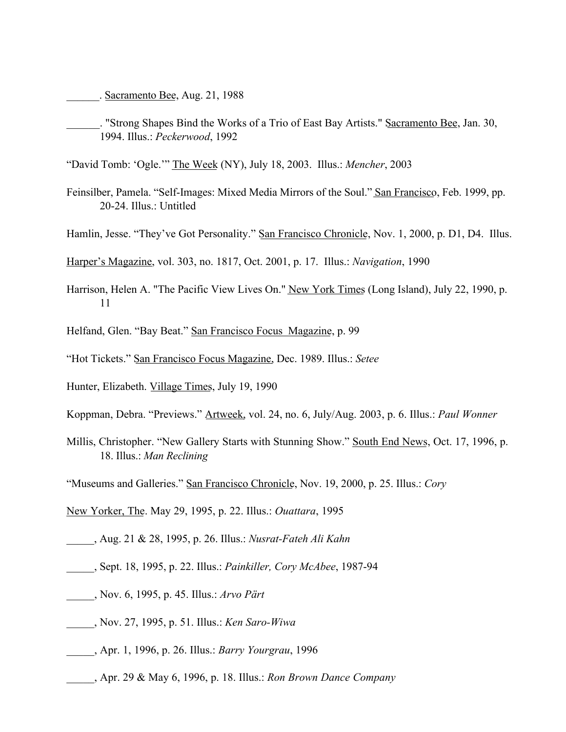. Sacramento Bee, Aug. 21, 1988

. "Strong Shapes Bind the Works of a Trio of East Bay Artists." Sacramento Bee, Jan. 30, 1994. Illus.: *Peckerwood*, 1992

"David Tomb: 'Ogle.'" The Week (NY), July 18, 2003. Illus.: *Mencher*, 2003

- Feinsilber, Pamela. "Self-Images: Mixed Media Mirrors of the Soul." San Francisco, Feb. 1999, pp. 20-24. Illus.: Untitled
- Hamlin, Jesse. "They've Got Personality." San Francisco Chronicle, Nov. 1, 2000, p. D1, D4. Illus.

Harper's Magazine, vol. 303, no. 1817, Oct. 2001, p. 17. Illus.: *Navigation*, 1990

- Harrison, Helen A. "The Pacific View Lives On." New York Times (Long Island), July 22, 1990, p. 11
- Helfand, Glen. "Bay Beat." San Francisco Focus Magazine, p. 99
- "Hot Tickets." San Francisco Focus Magazine, Dec. 1989. Illus.: *Setee*
- Hunter, Elizabeth. Village Times, July 19, 1990
- Koppman, Debra. "Previews." Artweek, vol. 24, no. 6, July/Aug. 2003, p. 6. Illus.: *Paul Wonner*
- Millis, Christopher. "New Gallery Starts with Stunning Show." South End News, Oct. 17, 1996, p. 18. Illus.: *Man Reclining*
- "Museums and Galleries." San Francisco Chronicle, Nov. 19, 2000, p. 25. Illus.: *Cory*
- New Yorker, The. May 29, 1995, p. 22. Illus.: *Ouattara*, 1995
- \_\_\_\_\_, Aug. 21 & 28, 1995, p. 26. Illus.: *Nusrat-Fateh Ali Kahn*
- \_\_\_\_\_, Sept. 18, 1995, p. 22. Illus.: *Painkiller, Cory McAbee*, 1987-94
- \_\_\_\_\_, Nov. 6, 1995, p. 45. Illus.: *Arvo Pärt*
- \_\_\_\_\_, Nov. 27, 1995, p. 51. Illus.: *Ken Saro-Wiwa*
- \_\_\_\_\_, Apr. 1, 1996, p. 26. Illus.: *Barry Yourgrau*, 1996
- \_\_\_\_\_, Apr. 29 & May 6, 1996, p. 18. Illus.: *Ron Brown Dance Company*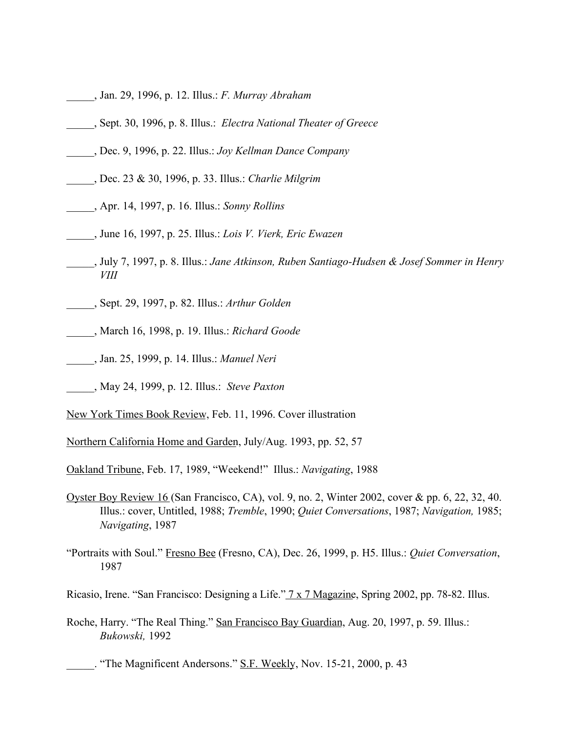- \_\_\_\_\_, Jan. 29, 1996, p. 12. Illus.: *F. Murray Abraham*
- \_\_\_\_\_, Sept. 30, 1996, p. 8. Illus.: *Electra National Theater of Greece*
- \_\_\_\_\_, Dec. 9, 1996, p. 22. Illus.: *Joy Kellman Dance Company*
- \_\_\_\_\_, Dec. 23 & 30, 1996, p. 33. Illus.: *Charlie Milgrim*
- \_\_\_\_\_, Apr. 14, 1997, p. 16. Illus.: *Sonny Rollins*
- \_\_\_\_\_, June 16, 1997, p. 25. Illus.: *Lois V. Vierk, Eric Ewazen*
- \_\_\_\_\_, July 7, 1997, p. 8. Illus.: *Jane Atkinson, Ruben Santiago-Hudsen & Josef Sommer in Henry VIII*
- \_\_\_\_\_, Sept. 29, 1997, p. 82. Illus.: *Arthur Golden*
- \_\_\_\_\_, March 16, 1998, p. 19. Illus.: *Richard Goode*
- \_\_\_\_\_, Jan. 25, 1999, p. 14. Illus.: *Manuel Neri*
- \_\_\_\_\_, May 24, 1999, p. 12. Illus.: *Steve Paxton*
- New York Times Book Review, Feb. 11, 1996. Cover illustration
- Northern California Home and Garden, July/Aug. 1993, pp. 52, 57
- Oakland Tribune, Feb. 17, 1989, "Weekend!" Illus.: *Navigating*, 1988
- Oyster Boy Review 16 (San Francisco, CA), vol. 9, no. 2, Winter 2002, cover & pp. 6, 22, 32, 40. Illus.: cover, Untitled, 1988; *Tremble*, 1990; *Quiet Conversations*, 1987; *Navigation,* 1985; *Navigating*, 1987
- "Portraits with Soul." Fresno Bee (Fresno, CA), Dec. 26, 1999, p. H5. Illus.: *Quiet Conversation*, 1987
- Ricasio, Irene. "San Francisco: Designing a Life." 7 x 7 Magazine, Spring 2002, pp. 78-82. Illus.
- Roche, Harry. "The Real Thing." San Francisco Bay Guardian, Aug. 20, 1997, p. 59. Illus.: *Bukowski,* 1992
	- The Magnificent Andersons." S.F. Weekly, Nov. 15-21, 2000, p. 43